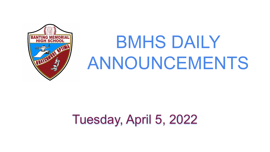

# BMHS DAILY ANNOUNCEMENTS

# Tuesday, April 5, 2022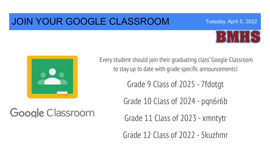### JOIN YOUR GOOGLE CLASSROOM



Tuesday, April 5, 2022



Google Classroom

Every student should join their graduating class' Google Classroom to stay up to date with grade specific announcements!

Grade 9 Class of 2025 - 7fdotgt

Grade 10 Class of 2024 - pqn6r6b

Grade 11 Class of 2023 - xmntytr

Grade 12 Class of 2022 - 5kuzhmr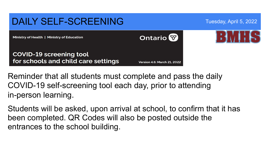

Reminder that all students must complete and pass the daily COVID-19 self-screening tool each day, prior to attending in-person learning.

Students will be asked, upon arrival at school, to confirm that it has been completed. QR Codes will also be posted outside the entrances to the school building.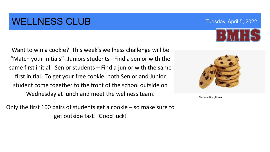## WELLNESS CLUB Tuesday, April 5, 2022

Want to win a cookie? This week's wellness challenge will be "Match your Initials"! Juniors students - Find a senior with the same first initial. Senior students – Find a junior with the same first initial. To get your free cookie, both Senior and Junior student come together to the front of the school outside on Wednesday at lunch and meet the wellness team.

Only the first 100 pairs of students get a cookie – so make sure to get outside fast! Good luck!



Photo credit:pngkit.com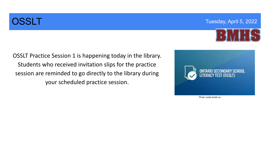

OSSLT Practice Session 1 is happening today in the library. Students who received invitation slips for the practice session are reminded to go directly to the library during your scheduled practice session.



Photo credit:wrdsb.ca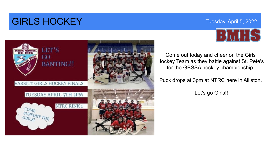### **GIRLS HOCKEY** Tuesday, April 5, 2022



Come out today and cheer on the Girls Hockey Team as they battle against St. Pete's for the GBSSA hockey championship.

Puck drops at 3pm at NTRC here in Alliston.

Let's go Girls!!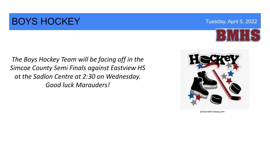### **BOYS HOCKEY** Tuesday, April 5, 2022



*The Boys Hockey Team will be facing off in the Simcoe County Semi Finals against Eastview HS at the Sadlon Centre at 2:30 on Wednesday. Good luck Marauders!* 



photocredit:nicepng.com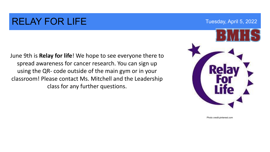### RELAY FOR LIFE THE THE THE THE THE THE THE THE TUESDAY APRIL 5, 2022

June 9th is **Relay for life**! We hope to see everyone there to spread awareness for cancer research. You can sign up using the QR- code outside of the main gym or in your classroom! Please contact Ms. Mitchell and the Leadership class for any further questions.



Photo credit:pinterest.com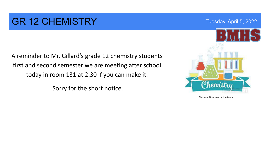#### GR 12 CHEMISTRY Tuesday, April 5, 2022

A reminder to Mr. Gillard's grade 12 chemistry students first and second semester we are meeting after school today in room 131 at 2:30 if you can make it.

Sorry for the short notice.



Photo credit:classroomclipart.com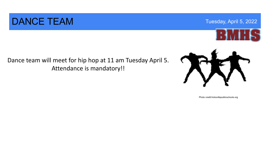#### DANCE TEAM Tuesday, April 5, 2022

Dance team will meet for hip hop at 11 am Tuesday April 5. Attendance is mandatory!!

Photo credit:hicksvillepublicschools.org



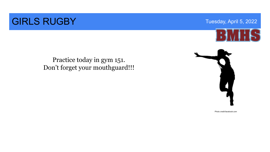### **GIRLS RUGBY** Tuesday, April 5, 2022



#### Practice today in gym 151. Don't forget your mouthguard!!!



Photo credit:facebook.com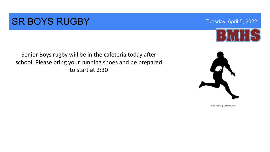#### **SR BOYS RUGBY** Tuesday, April 5, 2022

Senior Boys rugby will be in the cafeteria today after school. Please bring your running shoes and be prepared to start at 2:30





Photo credit:clipart-library.com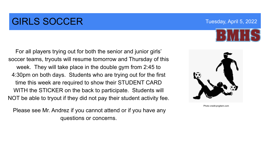### **GIRLS SOCCER** Tuesday, April 5, 2022

For all players trying out for both the senior and junior girls'

soccer teams, tryouts will resume tomorrow and Thursday of this week. They will take place in the double gym from 2:45 to 4:30pm on both days. Students who are trying out for the first time this week are required to show their STUDENT CARD WITH the STICKER on the back to participate. Students will NOT be able to tryout if they did not pay their student activity fee.

 Please see Mr. Andrez if you cannot attend or if you have any questions or concerns.



Photo credit:pngitem.com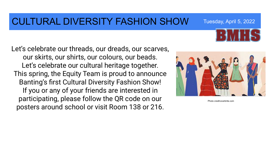#### CULTURAL DIVERSITY FASHION SHOW Tuesday, April 5, 2022

Let's celebrate our threads, our dreads, our scarves, our skirts, our shirts, our colours, our beads. Let's celebrate our cultural heritage together. This spring, the Equity Team is proud to announce Banting's first Cultural Diversity Fashion Show! If you or any of your friends are interested in participating, please follow the QR code on our posters around school or visit Room 138 or 216.



Photo credit:everbrite.com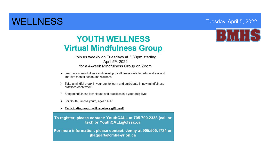#### WELLNESS Tuesday, April 5, 2022

#### **YOUTH WELLNESS Virtual Mindfulness Group**

Join us weekly on Tuesdays at 3:30pm starting April 5th, 2022 for a 4-week Mindfulness Group on Zoom

- > Learn about mindfulness and develop mindfulness skills to reduce stress and improve mental health and wellness
- $\triangleright$  Take a mindful break in your day to learn and participate in new mindfulness practices each week
- > Bring mindfulness techniques and practices into your daily lives
- > For South Simcoe youth, ages 14-17

#### > Participating youth will receive a gift card!

To register, please contact: YouthCALL at 705.790.2338 (call or text) or YouthCALL@cfssc.ca

For more information, please contact: Jenny at 905.505.1724 or jhaggart@cmha-yr.on.ca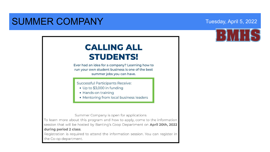#### SUMMER COMPANY Tuesday, April 5, 2022



#### **CALLING ALL STUDENTS!**

Ever had an idea for a company? Learning how to run your own student business is one of the best summer jobs you can have.

Successful Participants Receive:

- Up to \$3,000 in funding
- Hands-on training
- Mentoring from local business leaders

Summer Company is open for applications

To learn more about this program and how to apply, come to the information session that will be hosted by Banting's Coop Department on April 20th, 2022 during period 2 class.

Registration is required to attend the information session. You can register in the Co-op department.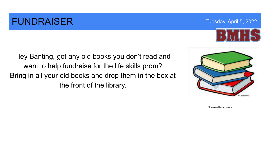### **FUNDRAISER** Tuesday, April 5, 2022

Hey Banting, got any old books you don't read and want to help fundraise for the life skills prom? Bring in all your old books and drop them in the box at the front of the library.



Photo credit:cliparts.zone